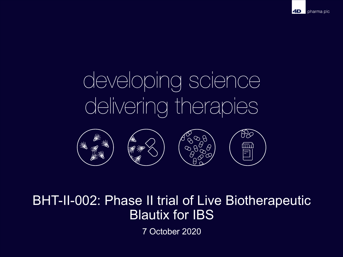# developing science delivering therapies



## BHT-II-002: Phase II trial of Live Biotherapeutic Blautix for IBS

7 October 2020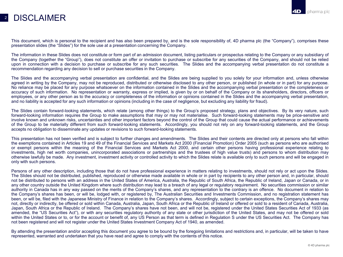#### 2 DISCI AIMFR

This document, which is personal to the recipient and has also been prepared by, and is the sole responsibility of, 4D pharma plc (the "Company"), comprises these presentation slides (the "Slides") for the sole use at a presentation concerning the Company.

The information in these Slides does not constitute or form part of an admission document, listing particulars or prospectus relating to the Company or any subsidiary of the Company (together the "Group"), does not constitute an offer or invitation to purchase or subscribe for any securities of the Company, and should not be relied upon in connection with a decision to purchase or subscribe for any such securities. The Slides and the accompanying verbal presentation do not constitute a recommendation regarding any decision to sell or purchase securities in the Company.

The Slides and the accompanying verbal presentation are confidential, and the Slides are being supplied to you solely for your information and, unless otherwise agreed in writing by the Company, may not be reproduced, distributed or otherwise disclosed to any other person, or published (in whole or in part) for any purpose. No reliance may be placed for any purpose whatsoever on the information contained in the Slides and the accompanying verbal presentation or the completeness or accuracy of such information. No representation or warranty, express or implied, is given by or on behalf of the Company or its shareholders, directors, officers or employees, or any other person as to the accuracy or completeness of the information or opinions contained in the Slides and the accompanying verbal presentation, and no liability is accepted for any such information or opinions (including in the case of negligence, but excluding any liability for fraud).

The Slides contain forward-looking statements, which relate (among other things) to the Group's proposed strategy, plans and objectives. By its very nature, such forward-looking information requires the Group to make assumptions that may or may not materialise. Such forward-looking statements may be price-sensitive and involve known and unknown risks, uncertainties and other important factors beyond the control of the Group that could cause the actual performance or achievements of the Group to be materially different from such forward-looking statements. Accordingly, you should not rely on any forward-looking statements, and the Group accepts no obligation to disseminate any updates or revisions to such forward-looking statements.

This presentation has not been verified and is subject to further changes and amendments. The Slides and their contents are directed only at persons who fall within the exemptions contained in Articles 19 and 49 of the Financial Services and Markets Act 2000 (Financial Promotion) Order 2005 (such as persons who are authorised or exempt persons within the meaning of the Financial Services and Markets Act 2000, and certain other persons having professional experience relating to investments, high net worth companies, unincorporated associations or partnerships and the trustees of high value trusts) and persons to whom distribution may otherwise lawfully be made. Any investment, investment activity or controlled activity to which the Slides relate is available only to such persons and will be engaged in only with such persons.

Persons of any other description, including those that do not have professional experience in matters relating to investments, should not rely or act upon the Slides. The Slides should not be distributed, published, reproduced or otherwise made available in whole or in part by recipients to any other person and, in particular, should not be distributed to persons with an address in the United States of America, Australia, the Republic of South Africa, the Republic of Ireland, Japan or Canada, or in any other country outside the United Kingdom where such distribution may lead to a breach of any legal or regulatory requirement. No securities commission or similar authority in Canada has in any way passed on the merits of the Company's shares, and any representation to the contrary is an offence. No document in relation to the Company's shares has been, or will be, lodged with, or registered by, The Australian Securities and Investments Commission, and no registration statement has been, or will be, filed with the Japanese Ministry of Finance in relation to the Company's shares. Accordingly, subject to certain exceptions, the Company's shares may not, directly or indirectly, be offered or sold within Canada, Australia, Japan, South Africa or the Republic of Ireland or offered or sold to a resident of Canada, Australia, Japan, South Africa or the Republic of Ireland. The Company's shares have not been, and will not be, registered under the United States Securities Act of 1933 (as amended, the "US Securities Act"), or with any securities regulatory authority of any state or other jurisdiction of the United States, and may not be offered or sold within the United States or to, or for the account or benefit of, any US Person as that term is defined in Regulation S under the US Securities Act. The Company has not been registered and will not register under the United States Investment Company Act of 1940, as amended.

By attending the presentation and/or accepting this document you agree to be bound by the foregoing limitations and restrictions and, in particular, will be taken to have represented, warranted and undertaken that you have read and agree to comply with the contents of this notice.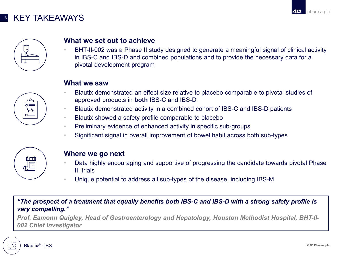#### <sup>3</sup> KEY TAKEAWAYS



#### **What we set out to achieve**

• BHT-II-002 was a Phase II study designed to generate a meaningful signal of clinical activity in IBS-C and IBS-D and combined populations and to provide the necessary data for a pivotal development program

#### **What we saw**

- Blautix demonstrated an effect size relative to placebo comparable to pivotal studies of approved products in **both** IBS-C and IBS-D
- Blautix demonstrated activity in a combined cohort of IBS-C and IBS-D patients
- Blautix showed a safety profile comparable to placebo
- Preliminary evidence of enhanced activity in specific sub-groups
- Significant signal in overall improvement of bowel habit across both sub-types



#### **Where we go next**

- Data highly encouraging and supportive of progressing the candidate towards pivotal Phase III trials
- Unique potential to address all sub-types of the disease, including IBS-M

*"The prospect of a treatment that equally benefits both IBS-C and IBS-D with a strong safety profile is very compelling."*

*Prof. Eamonn Quigley, Head of Gastroenterology and Hepatology, Houston Methodist Hospital, BHT-II-002 Chief Investigator*

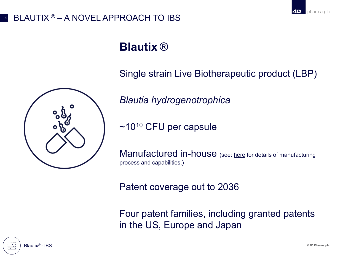## BLAUTIX  $\odot$  – A NOVEL APPROACH TO IBS

## **Blautix** ®

Single strain Live Biotherapeutic product (LBP)

*Blautia hydrogenotrophica*

~1010 CFU per capsule

Manufactured in-house (see: [here](https://www.4dpharmaplc.com/en/newsroom/video-and-audio) for details of manufacturing process and capabilities.)

Patent coverage out to 2036

Four patent families, including granted patents in the US, Europe and Japan

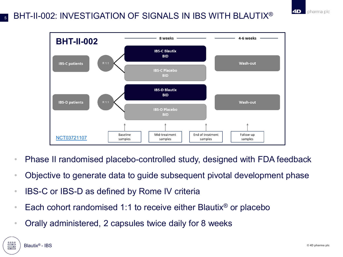#### BHT-II-002: INVESTIGATION OF SIGNALS IN IBS WITH BLAUTIX® 5



- Phase II randomised placebo-controlled study, designed with FDA feedback
- Objective to generate data to guide subsequent pivotal development phase
- IBS-C or IBS-D as defined by Rome IV criteria
- Each cohort randomised 1:1 to receive either Blautix<sup>®</sup> or placebo
- Orally administered, 2 capsules twice daily for 8 weeks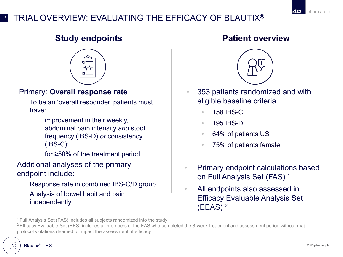### <sup>6</sup> TRIAL OVERVIEW: EVALUATING THE EFFICACY OF BLAUTIX**®**

### **Study endpoints**



#### Primary: **Overall response rate**

• To be an 'overall responder' patients must have:

> improvement in their weekly, abdominal pain intensity *and* stool frequency (IBS-D) *or* consistency (IBS-C);

for  $\geq$ 50% of the treatment period

Additional analyses of the primary endpoint include:

> • Response rate in combined IBS-C/D group • Analysis of bowel habit and pain independently

#### **Patient overview**



- 353 patients randomized and with eligible baseline criteria
	- 158 IBS-C
	- 195 IBS-D
	- 64% of patients US
	- 75% of patients female
- Primary endpoint calculations based on Full Analysis Set (FAS) 1
- All endpoints also assessed in Efficacy Evaluable Analysis Set  $(EEAS)<sup>2</sup>$

<sup>1</sup> Full Analysis Set (FAS) includes all subjects randomized into the study

<sup>2</sup> Efficacy Evaluable Set (EES) includes all members of the FAS who completed the 8-week treatment and assessment period without major protocol violations deemed to impact the assessment of efficacy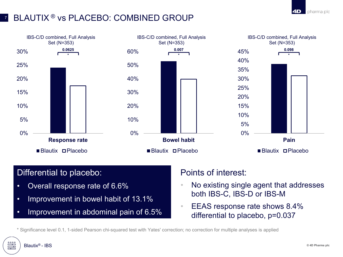### BLAUTIX<sup>®</sup> vs PLACEBO: COMBINED GROUP



#### Differential to placebo:

- Overall response rate of 6.6%
- Improvement in bowel habit of 13.1%
- Improvement in abdominal pain of 6.5%

#### Points of interest:

- No existing single agent that addresses both IBS-C, IBS-D or IBS-M
- EEAS response rate shows 8.4% differential to placebo, p=0.037

\* Significance level 0.1, 1-sided Pearson chi-squared test with Yates' correction; no correction for multiple analyses is applied

Blautix® - IBS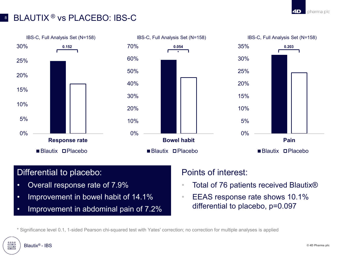#### 8 BLAUTIX<sup>®</sup> vs PLACEBO: IBS-C



#### Differential to placebo:

- Overall response rate of 7.9%
- Improvement in bowel habit of 14.1%
- Improvement in abdominal pain of 7.2%

#### Points of interest:

- Total of 76 patients received Blautix<sup>®</sup>
- **EEAS response rate shows 10.1%** differential to placebo, p=0.097

\* Significance level 0.1, 1-sided Pearson chi-squared test with Yates' correction; no correction for multiple analyses is applied

Blautix® - IBS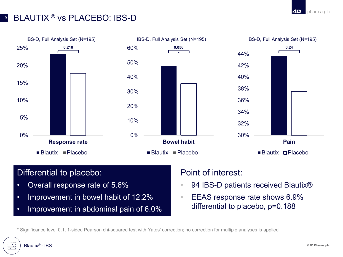#### **BLAUTIX<sup>®</sup> vs PLACEBO: IBS-D**



#### Differential to placebo:

- Overall response rate of 5.6%
- Improvement in bowel habit of 12.2%
- Improvement in abdominal pain of 6.0%

#### Point of interest:

- 94 IBS-D patients received Blautix<sup>®</sup>
- **EEAS response rate shows 6.9%** differential to placebo, p=0.188

\* Significance level 0.1, 1-sided Pearson chi-squared test with Yates' correction; no correction for multiple analyses is applied

Blautix® - IBS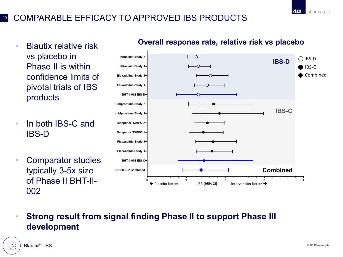#### <sup>10</sup> COMPARABLE EFFICACY TO APPROVED IBS PRODUCTS

- Blautix relative risk vs placebo in Phase II is within confidence limits of pivotal trials of IBS products
- In both IBS-C and IBS-D
- Comparator studies typically 3-5x size of Phase II BHT-II-002



#### **Overall response rate, relative risk vs placebo**

• **Strong result from signal finding Phase II to support Phase III development**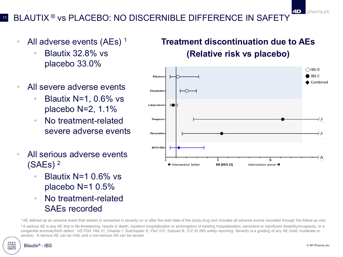## BLAUTIX<sup>®</sup> vs PLACEBO: NO DISCERNIBLE DIFFERENCE IN SAFETY

- All adverse events  $(AEs)^{-1}$ 
	- Blautix 32.8% vs placebo 33.0%
- All severe adverse events
	- Blautix N=1, 0.6% vs placebo  $N=2, 1.1\%$
	- No treatment-related severe adverse events
- All serious adverse events (SAEs) <sup>2</sup>
	- Blautix N=1 0.6% vs placebo N=1 0.5%
	- No treatment-related SAEs recorded

## **Treatment discontinuation due to AEs (Relative risk vs placebo)**



<sup>1</sup> AE defined as an adverse event that started or worsened in severity on or after the start date of the study drug and includes all adverse events recorded through the follow-up visit

<sup>2</sup>A serious AE is any AE that is life-threatening, results in death, inpatient hospitalization or prolongation of existing hospitalization, persistent or significant disability/incapacity, or a congenital anomaly/birth defect. US FDA Title 21, Chapter I, Subchapter D, Part 312. Subpart B, 312.32 IND safety reporting. Severity is a grading of any AE (mild, moderate or severe). A serious AE can be mild, and a non-serious AE can be severe

 $\mathbb{F}$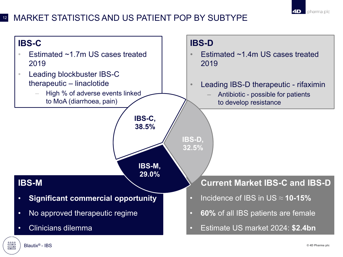

#### <sup>12</sup> MARKET STATISTICS AND US PATIENT POP BY SUBTYPE

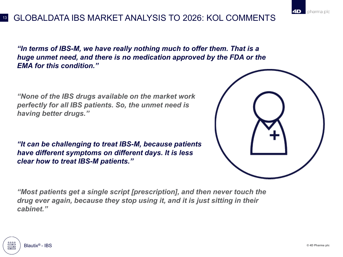#### <sup>13</sup> GLOBALDATA IBS MARKET ANALYSIS TO 2026: KOL COMMENTS

*"In terms of IBS-M, we have really nothing much to offer them. That is a huge unmet need, and there is no medication approved by the FDA or the EMA for this condition."*

*"None of the IBS drugs available on the market work perfectly for all IBS patients. So, the unmet need is having better drugs.''*

*"It can be challenging to treat IBS-M, because patients have different symptoms on different days. It is less clear how to treat IBS-M patients.''*



*"Most patients get a single script [prescription], and then never touch the drug ever again, because they stop using it, and it is just sitting in their cabinet."*

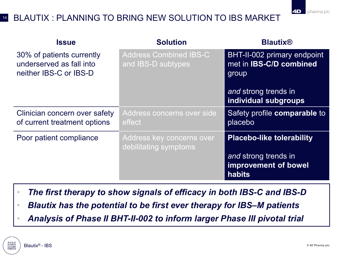### <sup>14</sup> BLAUTIX : PLANNING TO BRING NEW SOLUTION TO IBS MARKET

| <b>Issue</b>                                                                    | <b>Solution</b>                                     | <b>Blautix®</b>                                                        |
|---------------------------------------------------------------------------------|-----------------------------------------------------|------------------------------------------------------------------------|
| 30% of patients currently<br>underserved as fall into<br>neither IBS-C or IBS-D | <b>Address Combined IBS-C</b><br>and IBS-D subtypes | BHT-II-002 primary endpoint<br>met in <b>IBS-C/D combined</b><br>group |
|                                                                                 |                                                     | and strong trends in<br>individual subgroups                           |
| Clinician concern over safety<br>of current treatment options                   | Address concerns over side<br>effect                | Safety profile comparable to<br>placebo                                |
| Poor patient compliance                                                         | Address key concerns over<br>debilitating symptoms  | <b>Placebo-like tolerability</b>                                       |
|                                                                                 |                                                     | and strong trends in<br>improvement of bowel<br>habits                 |

- *The first therapy to show signals of efficacy in both IBS-C and IBS-D*
- *Blautix has the potential to be first ever therapy for IBS–M patients*
- *Analysis of Phase II BHT-II-002 to inform larger Phase III pivotal trial*